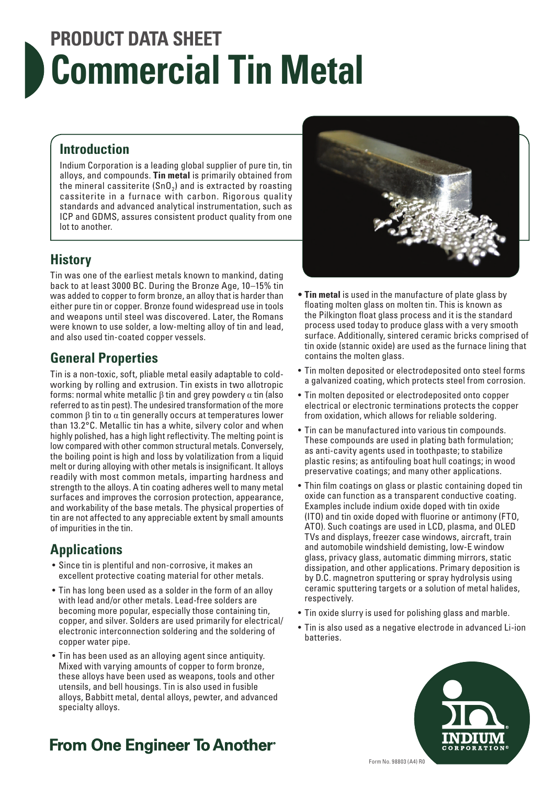# **PRODUCT DATA SHEET Commercial Tin Metal**

#### **Introduction**

Indium Corporation is a leading global supplier of pure tin, tin alloys, and compounds. **Tin metal** is primarily obtained from the mineral cassiterite  $(SnO<sub>2</sub>)$  and is extracted by roasting cassiterite in a furnace with carbon. Rigorous quality standards and advanced analytical instrumentation, such as ICP and GDMS, assures consistent product quality from one lot to another.

#### **History**

Tin was one of the earliest metals known to mankind, dating back to at least 3000 BC. During the Bronze Age, 10–15% tin was added to copper to form bronze, an alloy that is harder than either pure tin or copper. Bronze found widespread use in tools and weapons until steel was discovered. Later, the Romans were known to use solder, a low-melting alloy of tin and lead, and also used tin-coated copper vessels.

#### **General Properties**

Tin is a non-toxic, soft, pliable metal easily adaptable to coldworking by rolling and extrusion. Tin exists in two allotropic forms: normal white metallic β tin and grey powdery α tin (also referred to as tin pest). The undesired transformation of the more common β tin to α tin generally occurs at temperatures lower than 13.2°C. Metallic tin has a white, silvery color and when highly polished, has a high light reflectivity. The melting point is low compared with other common structural metals. Conversely, the boiling point is high and loss by volatilization from a liquid melt or during alloying with other metals is insignificant. It alloys readily with most common metals, imparting hardness and strength to the alloys. A tin coating adheres well to many metal surfaces and improves the corrosion protection, appearance, and workability of the base metals. The physical properties of tin are not affected to any appreciable extent by small amounts of impurities in the tin.

#### **Applications**

- Since tin is plentiful and non-corrosive, it makes an excellent protective coating material for other metals.
- Tin has long been used as a solder in the form of an alloy with lead and/or other metals. Lead-free solders are becoming more popular, especially those containing tin, copper, and silver. Solders are used primarily for electrical/ electronic interconnection soldering and the soldering of copper water pipe.
- Tin has been used as an alloying agent since antiquity. Mixed with varying amounts of copper to form bronze, these alloys have been used as weapons, tools and other utensils, and bell housings. Tin is also used in fusible alloys, Babbitt metal, dental alloys, pewter, and advanced specialty alloys.



- **• Tin metal** is used in the manufacture of plate glass by floating molten glass on molten tin. This is known as the Pilkington float glass process and it is the standard process used today to produce glass with a very smooth surface. Additionally, sintered ceramic bricks comprised of tin oxide (stannic oxide) are used as the furnace lining that contains the molten glass.
- Tin molten deposited or electrodeposited onto steel forms a galvanized coating, which protects steel from corrosion.
- Tin molten deposited or electrodeposited onto copper electrical or electronic terminations protects the copper from oxidation, which allows for reliable soldering.
- Tin can be manufactured into various tin compounds. These compounds are used in plating bath formulation; as anti-cavity agents used in toothpaste; to stabilize plastic resins; as antifouling boat hull coatings; in wood preservative coatings; and many other applications.
- Thin film coatings on glass or plastic containing doped tin oxide can function as a transparent conductive coating. Examples include indium oxide doped with tin oxide (ITO) and tin oxide doped with fluorine or antimony (FTO, ATO). Such coatings are used in LCD, plasma, and OLED TVs and displays, freezer case windows, aircraft, train and automobile windshield demisting, low-E window glass, privacy glass, automatic dimming mirrors, static dissipation, and other applications. Primary deposition is by D.C. magnetron sputtering or spray hydrolysis using ceramic sputtering targets or a solution of metal halides, respectively.
- Tin oxide slurry is used for polishing glass and marble.
- Tin is also used as a negative electrode in advanced Li-ion batteries.



# **From One Engineer To Another**